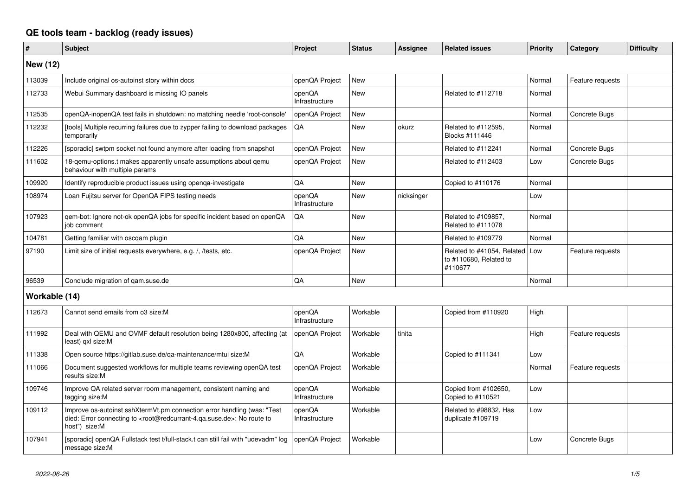## **QE tools team - backlog (ready issues)**

| $\vert$ #       | <b>Subject</b>                                                                                                                                                                                    | Project                  | <b>Status</b> | Assignee   | <b>Related issues</b>                                                 | <b>Priority</b> | Category         | <b>Difficulty</b> |
|-----------------|---------------------------------------------------------------------------------------------------------------------------------------------------------------------------------------------------|--------------------------|---------------|------------|-----------------------------------------------------------------------|-----------------|------------------|-------------------|
| <b>New (12)</b> |                                                                                                                                                                                                   |                          |               |            |                                                                       |                 |                  |                   |
| 113039          | Include original os-autoinst story within docs                                                                                                                                                    | openQA Project           | <b>New</b>    |            |                                                                       | Normal          | Feature requests |                   |
| 112733          | Webui Summary dashboard is missing IO panels                                                                                                                                                      | openQA<br>Infrastructure | <b>New</b>    |            | Related to #112718                                                    | Normal          |                  |                   |
| 112535          | openQA-inopenQA test fails in shutdown: no matching needle 'root-console'                                                                                                                         | openQA Project           | <b>New</b>    |            |                                                                       | Normal          | Concrete Bugs    |                   |
| 112232          | [tools] Multiple recurring failures due to zypper failing to download packages<br>temporarily                                                                                                     | QA                       | <b>New</b>    | okurz      | Related to #112595,<br>Blocks #111446                                 | Normal          |                  |                   |
| 112226          | [sporadic] swtpm socket not found anymore after loading from snapshot                                                                                                                             | openQA Project           | <b>New</b>    |            | Related to #112241                                                    | Normal          | Concrete Bugs    |                   |
| 111602          | 18-qemu-options.t makes apparently unsafe assumptions about qemu<br>behaviour with multiple params                                                                                                | openQA Project           | <b>New</b>    |            | Related to #112403                                                    | Low             | Concrete Bugs    |                   |
| 109920          | Identify reproducible product issues using openga-investigate                                                                                                                                     | QA                       | <b>New</b>    |            | Copied to #110176                                                     | Normal          |                  |                   |
| 108974          | Loan Fujitsu server for OpenQA FIPS testing needs                                                                                                                                                 | openQA<br>Infrastructure | <b>New</b>    | nicksinger |                                                                       | Low             |                  |                   |
| 107923          | qem-bot: Ignore not-ok openQA jobs for specific incident based on openQA<br>job comment                                                                                                           | QA                       | New           |            | Related to #109857,<br>Related to #111078                             | Normal          |                  |                   |
| 104781          | Getting familiar with oscqam plugin                                                                                                                                                               | QA                       | <b>New</b>    |            | Related to #109779                                                    | Normal          |                  |                   |
| 97190           | Limit size of initial requests everywhere, e.g. /, /tests, etc.                                                                                                                                   | openQA Project           | <b>New</b>    |            | Related to #41054, Related   Low<br>to #110680, Related to<br>#110677 |                 | Feature requests |                   |
| 96539           | Conclude migration of gam.suse.de                                                                                                                                                                 | QA                       | <b>New</b>    |            |                                                                       | Normal          |                  |                   |
| Workable (14)   |                                                                                                                                                                                                   |                          |               |            |                                                                       |                 |                  |                   |
| 112673          | Cannot send emails from o3 size:M                                                                                                                                                                 | openQA<br>Infrastructure | Workable      |            | Copied from #110920                                                   | High            |                  |                   |
| 111992          | Deal with QEMU and OVMF default resolution being 1280x800, affecting (at<br>least) gxl size:M                                                                                                     | openQA Project           | Workable      | tinita     |                                                                       | High            | Feature requests |                   |
| 111338          | Open source https://gitlab.suse.de/qa-maintenance/mtui size:M                                                                                                                                     | QA                       | Workable      |            | Copied to #111341                                                     | Low             |                  |                   |
| 111066          | Document suggested workflows for multiple teams reviewing openQA test<br>results size:M                                                                                                           | openQA Project           | Workable      |            |                                                                       | Normal          | Feature requests |                   |
| 109746          | Improve QA related server room management, consistent naming and<br>tagging size:M                                                                                                                | openQA<br>Infrastructure | Workable      |            | Copied from #102650,<br>Copied to #110521                             | Low             |                  |                   |
| 109112          | Improve os-autoinst sshXtermVt.pm connection error handling (was: "Test<br>died: Error connecting to <root@redcurrant-4.ga.suse.de>: No route to<br/>host") size:M</root@redcurrant-4.ga.suse.de> | openQA<br>Infrastructure | Workable      |            | Related to #98832, Has<br>duplicate #109719                           | Low             |                  |                   |
| 107941          | [sporadic] openQA Fullstack test t/full-stack.t can still fail with "udevadm" log<br>message size:M                                                                                               | openQA Project           | Workable      |            |                                                                       | Low             | Concrete Bugs    |                   |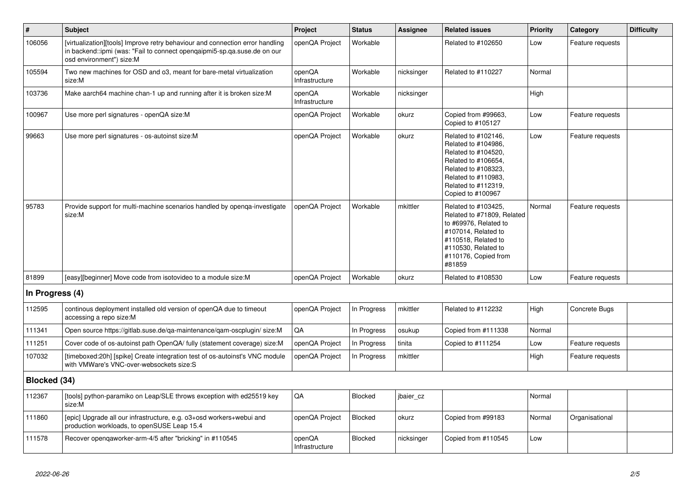| $\vert$ #       | <b>Subject</b>                                                                                                                                                                        | Project                  | <b>Status</b>  | <b>Assignee</b> | <b>Related issues</b>                                                                                                                                                              | <b>Priority</b> | Category         | <b>Difficulty</b> |
|-----------------|---------------------------------------------------------------------------------------------------------------------------------------------------------------------------------------|--------------------------|----------------|-----------------|------------------------------------------------------------------------------------------------------------------------------------------------------------------------------------|-----------------|------------------|-------------------|
| 106056          | [virtualization][tools] Improve retry behaviour and connection error handling<br>in backend::ipmi (was: "Fail to connect openqaipmi5-sp.qa.suse.de on our<br>osd environment") size:M | openQA Project           | Workable       |                 | Related to #102650                                                                                                                                                                 | Low             | Feature requests |                   |
| 105594          | Two new machines for OSD and o3, meant for bare-metal virtualization<br>size:M                                                                                                        | openQA<br>Infrastructure | Workable       | nicksinger      | Related to #110227                                                                                                                                                                 | Normal          |                  |                   |
| 103736          | Make aarch64 machine chan-1 up and running after it is broken size:M                                                                                                                  | openQA<br>Infrastructure | Workable       | nicksinger      |                                                                                                                                                                                    | High            |                  |                   |
| 100967          | Use more perl signatures - openQA size:M                                                                                                                                              | openQA Project           | Workable       | okurz           | Copied from #99663,<br>Copied to #105127                                                                                                                                           | Low             | Feature requests |                   |
| 99663           | Use more perl signatures - os-autoinst size:M                                                                                                                                         | openQA Project           | Workable       | okurz           | Related to #102146,<br>Related to #104986,<br>Related to #104520,<br>Related to #106654,<br>Related to #108323,<br>Related to #110983,<br>Related to #112319,<br>Copied to #100967 | Low             | Feature requests |                   |
| 95783           | Provide support for multi-machine scenarios handled by openga-investigate<br>size:M                                                                                                   | openQA Project           | Workable       | mkittler        | Related to #103425,<br>Related to #71809, Related<br>to #69976, Related to<br>#107014, Related to<br>#110518, Related to<br>#110530, Related to<br>#110176, Copied from<br>#81859  | Normal          | Feature requests |                   |
| 81899           | [easy][beginner] Move code from isotovideo to a module size: M                                                                                                                        | openQA Project           | Workable       | okurz           | Related to #108530                                                                                                                                                                 | Low             | Feature requests |                   |
| In Progress (4) |                                                                                                                                                                                       |                          |                |                 |                                                                                                                                                                                    |                 |                  |                   |
| 112595          | continous deployment installed old version of openQA due to timeout<br>accessing a repo size:M                                                                                        | openQA Project           | In Progress    | mkittler        | Related to #112232                                                                                                                                                                 | High            | Concrete Bugs    |                   |
| 111341          | Open source https://gitlab.suse.de/qa-maintenance/qam-oscplugin/ size:M                                                                                                               | QA                       | In Progress    | osukup          | Copied from #111338                                                                                                                                                                | Normal          |                  |                   |
| 111251          | Cover code of os-autoinst path OpenQA/ fully (statement coverage) size:M                                                                                                              | openQA Project           | In Progress    | tinita          | Copied to #111254                                                                                                                                                                  | Low             | Feature requests |                   |
| 107032          | [timeboxed:20h] [spike] Create integration test of os-autoinst's VNC module<br>with VMWare's VNC-over-websockets size:S                                                               | openQA Project           | In Progress    | mkittler        |                                                                                                                                                                                    | High            | Feature requests |                   |
| Blocked (34)    |                                                                                                                                                                                       |                          |                |                 |                                                                                                                                                                                    |                 |                  |                   |
| 112367          | [tools] python-paramiko on Leap/SLE throws exception with ed25519 key<br>size:M                                                                                                       | QA                       | <b>Blocked</b> | jbaier_cz       |                                                                                                                                                                                    | Normal          |                  |                   |
| 111860          | [epic] Upgrade all our infrastructure, e.g. o3+osd workers+webui and<br>production workloads, to openSUSE Leap 15.4                                                                   | openQA Project           | <b>Blocked</b> | okurz           | Copied from #99183                                                                                                                                                                 | Normal          | Organisational   |                   |
| 111578          | Recover opengaworker-arm-4/5 after "bricking" in #110545                                                                                                                              | openQA<br>Infrastructure | <b>Blocked</b> | nicksinger      | Copied from #110545                                                                                                                                                                | Low             |                  |                   |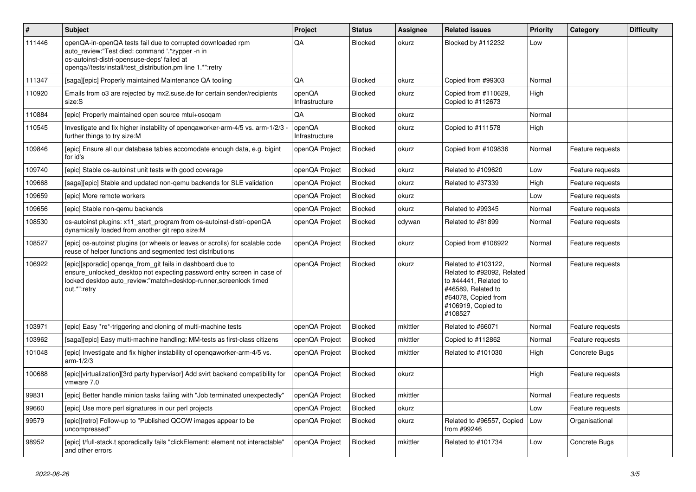| $\vert$ # | <b>Subject</b>                                                                                                                                                                                                              | Project                  | <b>Status</b>  | <b>Assignee</b> | <b>Related issues</b>                                                                                                                                    | <b>Priority</b> | Category         | <b>Difficulty</b> |
|-----------|-----------------------------------------------------------------------------------------------------------------------------------------------------------------------------------------------------------------------------|--------------------------|----------------|-----------------|----------------------------------------------------------------------------------------------------------------------------------------------------------|-----------------|------------------|-------------------|
| 111446    | openQA-in-openQA tests fail due to corrupted downloaded rpm<br>auto_review:"Test died: command '.*zypper -n in<br>os-autoinst-distri-opensuse-deps' failed at<br>openqa//tests/install/test_distribution.pm line 1.*":retry | QA                       | <b>Blocked</b> | okurz           | Blocked by #112232                                                                                                                                       | Low             |                  |                   |
| 111347    | [saga][epic] Properly maintained Maintenance QA tooling                                                                                                                                                                     | QA                       | Blocked        | okurz           | Copied from #99303                                                                                                                                       | Normal          |                  |                   |
| 110920    | Emails from o3 are rejected by mx2.suse.de for certain sender/recipients<br>size:S                                                                                                                                          | openQA<br>Infrastructure | <b>Blocked</b> | okurz           | Copied from #110629,<br>Copied to #112673                                                                                                                | High            |                  |                   |
| 110884    | [epic] Properly maintained open source mtui+oscqam                                                                                                                                                                          | QA                       | <b>Blocked</b> | okurz           |                                                                                                                                                          | Normal          |                  |                   |
| 110545    | Investigate and fix higher instability of openqaworker-arm-4/5 vs. arm-1/2/3<br>further things to try size:M                                                                                                                | openQA<br>Infrastructure | <b>Blocked</b> | okurz           | Copied to #111578                                                                                                                                        | High            |                  |                   |
| 109846    | [epic] Ensure all our database tables accomodate enough data, e.g. bigint<br>for id's                                                                                                                                       | openQA Project           | Blocked        | okurz           | Copied from #109836                                                                                                                                      | Normal          | Feature requests |                   |
| 109740    | [epic] Stable os-autoinst unit tests with good coverage                                                                                                                                                                     | openQA Project           | <b>Blocked</b> | okurz           | Related to #109620                                                                                                                                       | Low             | Feature requests |                   |
| 109668    | [saga][epic] Stable and updated non-gemu backends for SLE validation                                                                                                                                                        | openQA Project           | <b>Blocked</b> | okurz           | Related to #37339                                                                                                                                        | High            | Feature requests |                   |
| 109659    | [epic] More remote workers                                                                                                                                                                                                  | openQA Project           | <b>Blocked</b> | okurz           |                                                                                                                                                          | Low             | Feature requests |                   |
| 109656    | [epic] Stable non-gemu backends                                                                                                                                                                                             | openQA Project           | Blocked        | okurz           | Related to #99345                                                                                                                                        | Normal          | Feature requests |                   |
| 108530    | os-autoinst plugins: x11_start_program from os-autoinst-distri-openQA<br>dynamically loaded from another git repo size:M                                                                                                    | openQA Project           | Blocked        | cdywan          | Related to #81899                                                                                                                                        | Normal          | Feature requests |                   |
| 108527    | [epic] os-autoinst plugins (or wheels or leaves or scrolls) for scalable code<br>reuse of helper functions and segmented test distributions                                                                                 | openQA Project           | Blocked        | okurz           | Copied from #106922                                                                                                                                      | Normal          | Feature requests |                   |
| 106922    | [epic][sporadic] openqa_from_git fails in dashboard due to<br>ensure_unlocked_desktop not expecting password entry screen in case of<br>locked desktop auto_review:"match=desktop-runner,screenlock timed<br>out.*":retry   | openQA Project           | Blocked        | okurz           | Related to #103122,<br>Related to #92092, Related<br>to #44441, Related to<br>#46589, Related to<br>#64078, Copied from<br>#106919, Copied to<br>#108527 | Normal          | Feature requests |                   |
| 103971    | [epic] Easy *re*-triggering and cloning of multi-machine tests                                                                                                                                                              | openQA Project           | Blocked        | mkittler        | Related to #66071                                                                                                                                        | Normal          | Feature requests |                   |
| 103962    | [saga][epic] Easy multi-machine handling: MM-tests as first-class citizens                                                                                                                                                  | openQA Project           | Blocked        | mkittler        | Copied to #112862                                                                                                                                        | Normal          | Feature requests |                   |
| 101048    | [epic] Investigate and fix higher instability of openqaworker-arm-4/5 vs.<br>$arm-1/2/3$                                                                                                                                    | openQA Project           | Blocked        | mkittler        | Related to #101030                                                                                                                                       | High            | Concrete Bugs    |                   |
| 100688    | [epic][virtualization][3rd party hypervisor] Add svirt backend compatibility for<br>vmware 7.0                                                                                                                              | openQA Project           | Blocked        | okurz           |                                                                                                                                                          | High            | Feature requests |                   |
| 99831     | [epic] Better handle minion tasks failing with "Job terminated unexpectedly"                                                                                                                                                | openQA Project           | Blocked        | mkittler        |                                                                                                                                                          | Normal          | Feature requests |                   |
| 99660     | [epic] Use more perl signatures in our perl projects                                                                                                                                                                        | openQA Project           | Blocked        | okurz           |                                                                                                                                                          | Low             | Feature requests |                   |
| 99579     | [epic][retro] Follow-up to "Published QCOW images appear to be<br>uncompressed"                                                                                                                                             | openQA Project           | Blocked        | okurz           | Related to #96557, Copied<br>from #99246                                                                                                                 | Low             | Organisational   |                   |
| 98952     | [epic] t/full-stack.t sporadically fails "clickElement: element not interactable"<br>and other errors                                                                                                                       | openQA Project           | Blocked        | mkittler        | Related to #101734                                                                                                                                       | Low             | Concrete Bugs    |                   |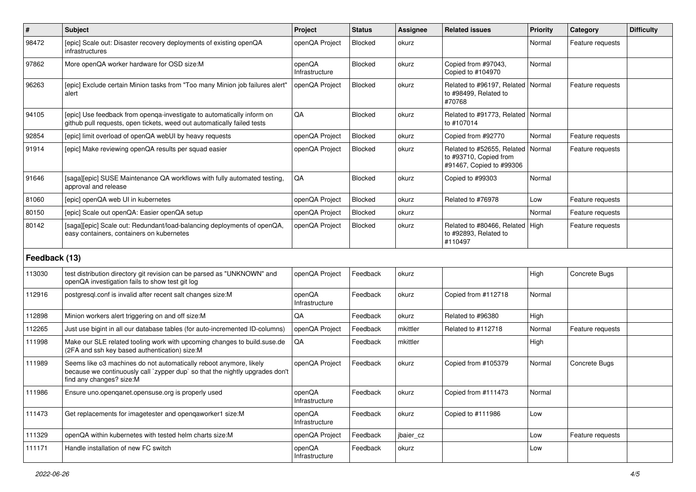| $\sharp$      | <b>Subject</b>                                                                                                                                                                 | <b>Project</b>           | <b>Status</b>  | <b>Assignee</b> | <b>Related issues</b>                                                            | <b>Priority</b> | Category         | <b>Difficulty</b> |
|---------------|--------------------------------------------------------------------------------------------------------------------------------------------------------------------------------|--------------------------|----------------|-----------------|----------------------------------------------------------------------------------|-----------------|------------------|-------------------|
| 98472         | [epic] Scale out: Disaster recovery deployments of existing openQA<br>infrastructures                                                                                          | openQA Project           | Blocked        | okurz           |                                                                                  | Normal          | Feature requests |                   |
| 97862         | More openQA worker hardware for OSD size:M                                                                                                                                     | openQA<br>Infrastructure | Blocked        | okurz           | Copied from #97043,<br>Copied to #104970                                         | Normal          |                  |                   |
| 96263         | [epic] Exclude certain Minion tasks from "Too many Minion job failures alert"<br>alert                                                                                         | openQA Project           | Blocked        | okurz           | Related to #96197. Related<br>to #98499, Related to<br>#70768                    | Normal          | Feature requests |                   |
| 94105         | [epic] Use feedback from openga-investigate to automatically inform on<br>github pull requests, open tickets, weed out automatically failed tests                              | QA                       | Blocked        | okurz           | Related to #91773, Related   Normal<br>to #107014                                |                 |                  |                   |
| 92854         | [epic] limit overload of openQA webUI by heavy requests                                                                                                                        | openQA Project           | Blocked        | okurz           | Copied from #92770                                                               | Normal          | Feature requests |                   |
| 91914         | [epic] Make reviewing openQA results per squad easier                                                                                                                          | openQA Project           | Blocked        | okurz           | Related to #52655, Related<br>to #93710, Copied from<br>#91467, Copied to #99306 | Normal          | Feature requests |                   |
| 91646         | [saga][epic] SUSE Maintenance QA workflows with fully automated testing,<br>approval and release                                                                               | QA                       | Blocked        | okurz           | Copied to #99303                                                                 | Normal          |                  |                   |
| 81060         | [epic] openQA web UI in kubernetes                                                                                                                                             | openQA Project           | Blocked        | okurz           | Related to #76978                                                                | Low             | Feature requests |                   |
| 80150         | [epic] Scale out openQA: Easier openQA setup                                                                                                                                   | openQA Project           | Blocked        | okurz           |                                                                                  | Normal          | Feature requests |                   |
| 80142         | [saga][epic] Scale out: Redundant/load-balancing deployments of openQA,<br>easy containers, containers on kubernetes                                                           | openQA Project           | <b>Blocked</b> | okurz           | Related to #80466, Related<br>to #92893, Related to<br>#110497                   | High            | Feature requests |                   |
| Feedback (13) |                                                                                                                                                                                |                          |                |                 |                                                                                  |                 |                  |                   |
| 113030        | test distribution directory git revision can be parsed as "UNKNOWN" and<br>openQA investigation fails to show test git log                                                     | openQA Project           | Feedback       | okurz           |                                                                                  | High            | Concrete Bugs    |                   |
| 112916        | postgresgl.conf is invalid after recent salt changes size:M                                                                                                                    | openQA<br>Infrastructure | Feedback       | okurz           | Copied from #112718                                                              | Normal          |                  |                   |
| 112898        | Minion workers alert triggering on and off size:M                                                                                                                              | QA                       | Feedback       | okurz           | Related to #96380                                                                | High            |                  |                   |
| 112265        | Just use bigint in all our database tables (for auto-incremented ID-columns)                                                                                                   | openQA Project           | Feedback       | mkittler        | Related to #112718                                                               | Normal          | Feature requests |                   |
| 111998        | Make our SLE related tooling work with upcoming changes to build.suse.de<br>(2FA and ssh key based authentication) size:M                                                      | QA                       | Feedback       | mkittler        |                                                                                  | High            |                  |                   |
| 111989        | Seems like o3 machines do not automatically reboot anymore, likely<br>because we continuously call `zypper dup` so that the nightly upgrades don't<br>find any changes? size:M | openQA Project           | Feedback       | okurz           | Copied from #105379                                                              | Normal          | Concrete Bugs    |                   |
| 111986        | Ensure uno.openqanet.opensuse.org is properly used                                                                                                                             | openQA<br>Infrastructure | Feedback       | okurz           | Copied from #111473                                                              | Normal          |                  |                   |
| 111473        | Get replacements for imagetester and openqaworker1 size:M                                                                                                                      | openQA<br>Infrastructure | Feedback       | okurz           | Copied to #111986                                                                | Low             |                  |                   |
| 111329        | openQA within kubernetes with tested helm charts size:M                                                                                                                        | openQA Project           | Feedback       | jbaier_cz       |                                                                                  | Low             | Feature requests |                   |
| 111171        | Handle installation of new FC switch                                                                                                                                           | openQA<br>Infrastructure | Feedback       | okurz           |                                                                                  | Low             |                  |                   |